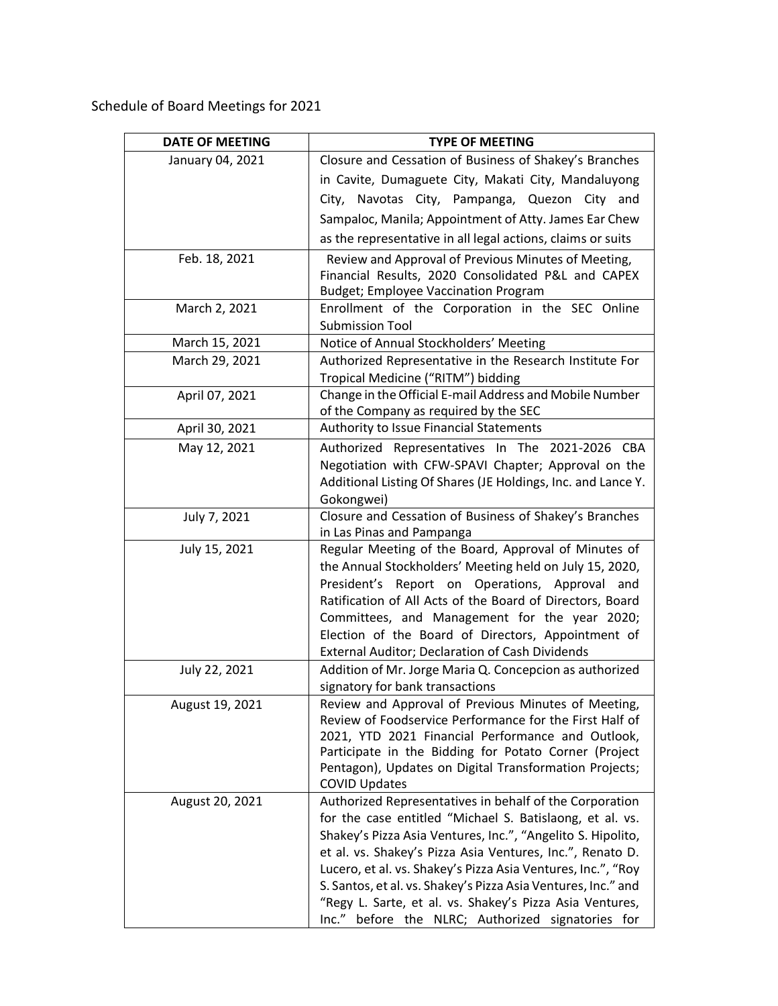Schedule of Board Meetings for 2021

| <b>DATE OF MEETING</b> | <b>TYPE OF MEETING</b>                                                                                                                                                                                                                                                                                                                                                                                                                                                                               |
|------------------------|------------------------------------------------------------------------------------------------------------------------------------------------------------------------------------------------------------------------------------------------------------------------------------------------------------------------------------------------------------------------------------------------------------------------------------------------------------------------------------------------------|
| January 04, 2021       | Closure and Cessation of Business of Shakey's Branches                                                                                                                                                                                                                                                                                                                                                                                                                                               |
|                        | in Cavite, Dumaguete City, Makati City, Mandaluyong                                                                                                                                                                                                                                                                                                                                                                                                                                                  |
|                        | Navotas City, Pampanga, Quezon City and<br>City,                                                                                                                                                                                                                                                                                                                                                                                                                                                     |
|                        | Sampaloc, Manila; Appointment of Atty. James Ear Chew                                                                                                                                                                                                                                                                                                                                                                                                                                                |
|                        | as the representative in all legal actions, claims or suits                                                                                                                                                                                                                                                                                                                                                                                                                                          |
| Feb. 18, 2021          | Review and Approval of Previous Minutes of Meeting,<br>Financial Results, 2020 Consolidated P&L and CAPEX<br><b>Budget; Employee Vaccination Program</b>                                                                                                                                                                                                                                                                                                                                             |
| March 2, 2021          | Enrollment of the Corporation in the SEC Online<br><b>Submission Tool</b>                                                                                                                                                                                                                                                                                                                                                                                                                            |
| March 15, 2021         | Notice of Annual Stockholders' Meeting                                                                                                                                                                                                                                                                                                                                                                                                                                                               |
| March 29, 2021         | Authorized Representative in the Research Institute For<br>Tropical Medicine ("RITM") bidding                                                                                                                                                                                                                                                                                                                                                                                                        |
| April 07, 2021         | Change in the Official E-mail Address and Mobile Number<br>of the Company as required by the SEC                                                                                                                                                                                                                                                                                                                                                                                                     |
| April 30, 2021         | Authority to Issue Financial Statements                                                                                                                                                                                                                                                                                                                                                                                                                                                              |
| May 12, 2021           | Authorized Representatives In The 2021-2026 CBA<br>Negotiation with CFW-SPAVI Chapter; Approval on the<br>Additional Listing Of Shares (JE Holdings, Inc. and Lance Y.<br>Gokongwei)                                                                                                                                                                                                                                                                                                                 |
| July 7, 2021           | Closure and Cessation of Business of Shakey's Branches<br>in Las Pinas and Pampanga                                                                                                                                                                                                                                                                                                                                                                                                                  |
| July 15, 2021          | Regular Meeting of the Board, Approval of Minutes of<br>the Annual Stockholders' Meeting held on July 15, 2020,<br>President's Report on Operations, Approval and<br>Ratification of All Acts of the Board of Directors, Board<br>Committees, and Management for the year 2020;<br>Election of the Board of Directors, Appointment of<br>External Auditor; Declaration of Cash Dividends                                                                                                             |
| July 22, 2021          | Addition of Mr. Jorge Maria Q. Concepcion as authorized<br>signatory for bank transactions                                                                                                                                                                                                                                                                                                                                                                                                           |
| August 19, 2021        | Review and Approval of Previous Minutes of Meeting,<br>Review of Foodservice Performance for the First Half of<br>2021, YTD 2021 Financial Performance and Outlook,<br>Participate in the Bidding for Potato Corner (Project<br>Pentagon), Updates on Digital Transformation Projects;<br><b>COVID Updates</b>                                                                                                                                                                                       |
| August 20, 2021        | Authorized Representatives in behalf of the Corporation<br>for the case entitled "Michael S. Batislaong, et al. vs.<br>Shakey's Pizza Asia Ventures, Inc.", "Angelito S. Hipolito,<br>et al. vs. Shakey's Pizza Asia Ventures, Inc.", Renato D.<br>Lucero, et al. vs. Shakey's Pizza Asia Ventures, Inc.", "Roy<br>S. Santos, et al. vs. Shakey's Pizza Asia Ventures, Inc." and<br>"Regy L. Sarte, et al. vs. Shakey's Pizza Asia Ventures,<br>before the NLRC; Authorized signatories for<br>Inc." |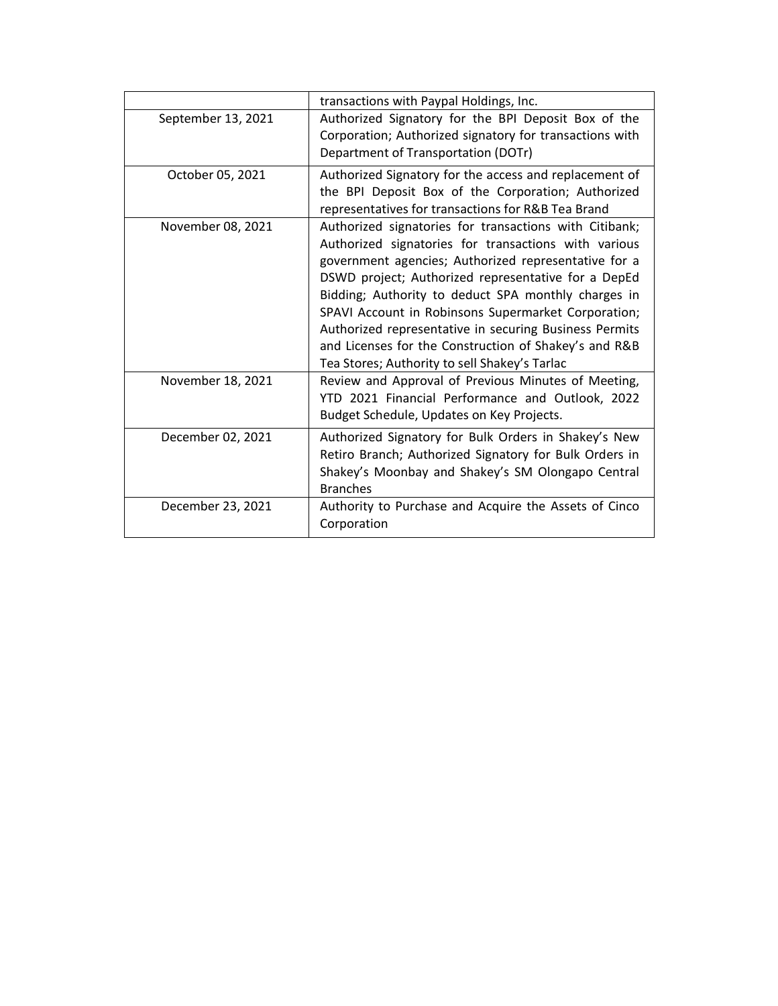|                    | transactions with Paypal Holdings, Inc.                                                                                                                                                                                                                                                                                                                                                                                                                                                                         |
|--------------------|-----------------------------------------------------------------------------------------------------------------------------------------------------------------------------------------------------------------------------------------------------------------------------------------------------------------------------------------------------------------------------------------------------------------------------------------------------------------------------------------------------------------|
| September 13, 2021 | Authorized Signatory for the BPI Deposit Box of the<br>Corporation; Authorized signatory for transactions with<br>Department of Transportation (DOTr)                                                                                                                                                                                                                                                                                                                                                           |
| October 05, 2021   | Authorized Signatory for the access and replacement of<br>the BPI Deposit Box of the Corporation; Authorized<br>representatives for transactions for R&B Tea Brand                                                                                                                                                                                                                                                                                                                                              |
| November 08, 2021  | Authorized signatories for transactions with Citibank;<br>Authorized signatories for transactions with various<br>government agencies; Authorized representative for a<br>DSWD project; Authorized representative for a DepEd<br>Bidding; Authority to deduct SPA monthly charges in<br>SPAVI Account in Robinsons Supermarket Corporation;<br>Authorized representative in securing Business Permits<br>and Licenses for the Construction of Shakey's and R&B<br>Tea Stores; Authority to sell Shakey's Tarlac |
| November 18, 2021  | Review and Approval of Previous Minutes of Meeting,<br>YTD 2021 Financial Performance and Outlook, 2022<br>Budget Schedule, Updates on Key Projects.                                                                                                                                                                                                                                                                                                                                                            |
| December 02, 2021  | Authorized Signatory for Bulk Orders in Shakey's New<br>Retiro Branch; Authorized Signatory for Bulk Orders in<br>Shakey's Moonbay and Shakey's SM Olongapo Central<br><b>Branches</b>                                                                                                                                                                                                                                                                                                                          |
| December 23, 2021  | Authority to Purchase and Acquire the Assets of Cinco<br>Corporation                                                                                                                                                                                                                                                                                                                                                                                                                                            |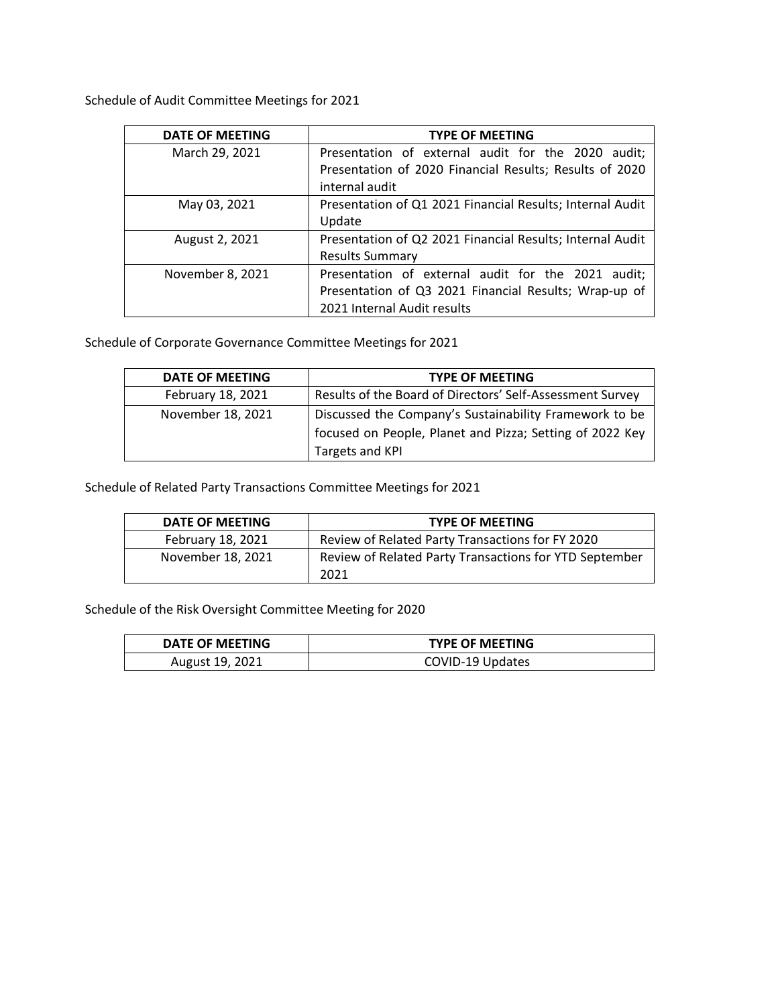Schedule of Audit Committee Meetings for 2021

| <b>DATE OF MEETING</b> | <b>TYPE OF MEETING</b>                                    |
|------------------------|-----------------------------------------------------------|
| March 29, 2021         | Presentation of external audit for the 2020 audit;        |
|                        | Presentation of 2020 Financial Results; Results of 2020   |
|                        | internal audit                                            |
| May 03, 2021           | Presentation of Q1 2021 Financial Results; Internal Audit |
|                        | Update                                                    |
| August 2, 2021         | Presentation of Q2 2021 Financial Results; Internal Audit |
|                        | <b>Results Summary</b>                                    |
| November 8, 2021       | Presentation of external audit for the 2021 audit;        |
|                        | Presentation of Q3 2021 Financial Results; Wrap-up of     |
|                        | 2021 Internal Audit results                               |

Schedule of Corporate Governance Committee Meetings for 2021

| DATE OF MEETING   | <b>TYPE OF MEETING</b>                                    |
|-------------------|-----------------------------------------------------------|
| February 18, 2021 | Results of the Board of Directors' Self-Assessment Survey |
| November 18, 2021 | Discussed the Company's Sustainability Framework to be    |
|                   | focused on People, Planet and Pizza; Setting of 2022 Key  |
|                   | Targets and KPI                                           |

Schedule of Related Party Transactions Committee Meetings for 2021

| DATE OF MEETING   | <b>TYPE OF MEETING</b>                                 |
|-------------------|--------------------------------------------------------|
| February 18, 2021 | Review of Related Party Transactions for FY 2020       |
| November 18, 2021 | Review of Related Party Transactions for YTD September |
|                   | 2021                                                   |

Schedule of the Risk Oversight Committee Meeting for 2020

| DATE OF MEETING | <b>TYPE OF MEETING</b> |
|-----------------|------------------------|
| August 19, 2021 | COVID-19 Updates       |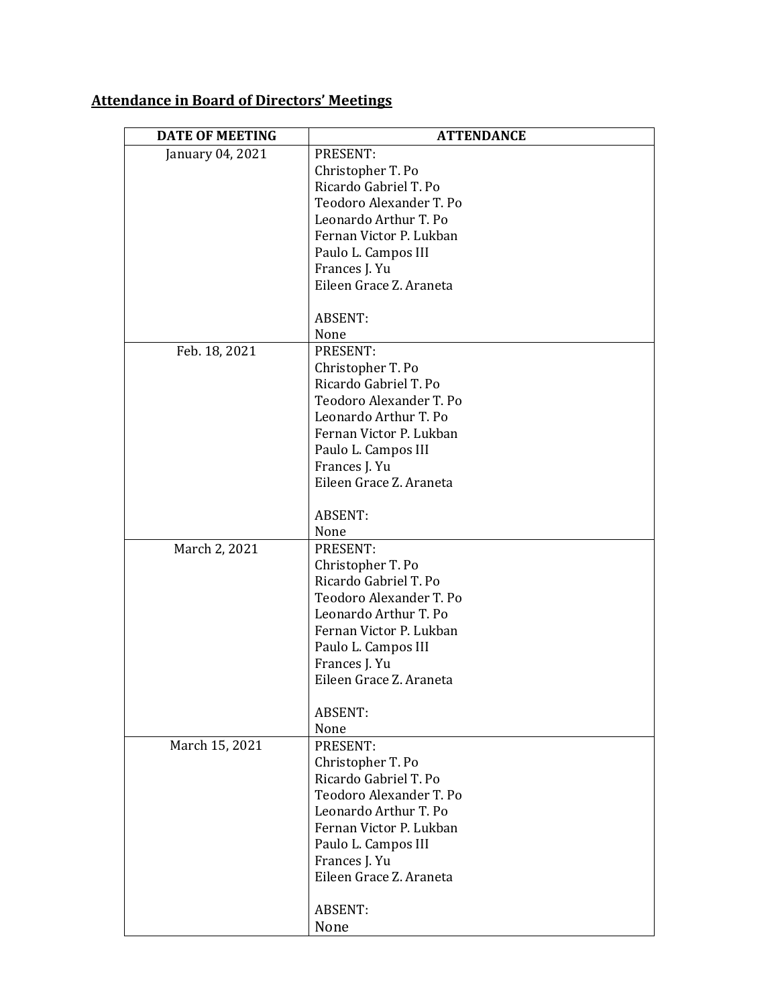# **Attendance in Board of Directors' Meetings**

| <b>DATE OF MEETING</b> | <b>ATTENDANCE</b>       |
|------------------------|-------------------------|
| January 04, 2021       | PRESENT:                |
|                        | Christopher T. Po       |
|                        | Ricardo Gabriel T. Po   |
|                        | Teodoro Alexander T. Po |
|                        | Leonardo Arthur T. Po   |
|                        | Fernan Victor P. Lukban |
|                        | Paulo L. Campos III     |
|                        | Frances J. Yu           |
|                        | Eileen Grace Z. Araneta |
|                        | <b>ABSENT:</b>          |
|                        | None                    |
| Feb. 18, 2021          | PRESENT:                |
|                        | Christopher T. Po       |
|                        | Ricardo Gabriel T. Po   |
|                        | Teodoro Alexander T. Po |
|                        | Leonardo Arthur T. Po   |
|                        | Fernan Victor P. Lukban |
|                        | Paulo L. Campos III     |
|                        | Frances J. Yu           |
|                        | Eileen Grace Z. Araneta |
|                        | <b>ABSENT:</b>          |
|                        | None                    |
| March 2, 2021          | PRESENT:                |
|                        | Christopher T. Po       |
|                        | Ricardo Gabriel T. Po   |
|                        | Teodoro Alexander T. Po |
|                        | Leonardo Arthur T. Po   |
|                        | Fernan Victor P. Lukban |
|                        | Paulo L. Campos III     |
|                        | Frances J. Yu           |
|                        | Eileen Grace Z. Araneta |
|                        | <b>ABSENT:</b>          |
|                        | None                    |
| March 15, 2021         | PRESENT:                |
|                        | Christopher T. Po       |
|                        | Ricardo Gabriel T. Po   |
|                        | Teodoro Alexander T. Po |
|                        | Leonardo Arthur T. Po   |
|                        | Fernan Victor P. Lukban |
|                        | Paulo L. Campos III     |
|                        | Frances J. Yu           |
|                        | Eileen Grace Z. Araneta |
|                        |                         |
|                        | ABSENT:                 |
|                        | None                    |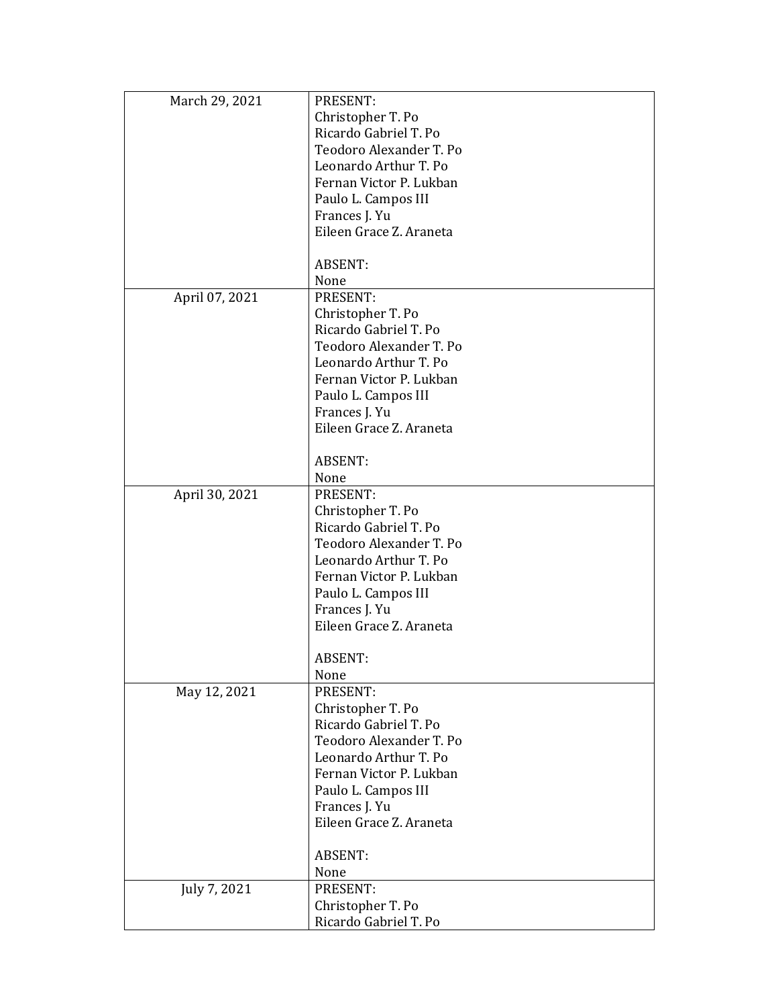| March 29, 2021 | PRESENT:                |
|----------------|-------------------------|
|                | Christopher T. Po       |
|                | Ricardo Gabriel T. Po   |
|                | Teodoro Alexander T. Po |
|                | Leonardo Arthur T. Po   |
|                | Fernan Victor P. Lukban |
|                |                         |
|                | Paulo L. Campos III     |
|                | Frances J. Yu           |
|                | Eileen Grace Z. Araneta |
|                | <b>ABSENT:</b>          |
|                | None                    |
| April 07, 2021 | PRESENT:                |
|                | Christopher T. Po       |
|                | Ricardo Gabriel T. Po   |
|                | Teodoro Alexander T. Po |
|                | Leonardo Arthur T. Po   |
|                | Fernan Victor P. Lukban |
|                |                         |
|                | Paulo L. Campos III     |
|                | Frances J. Yu           |
|                | Eileen Grace Z. Araneta |
|                | <b>ABSENT:</b>          |
|                | None                    |
|                | PRESENT:                |
| April 30, 2021 |                         |
|                | Christopher T. Po       |
|                | Ricardo Gabriel T. Po   |
|                | Teodoro Alexander T. Po |
|                | Leonardo Arthur T. Po   |
|                | Fernan Victor P. Lukban |
|                | Paulo L. Campos III     |
|                | Frances J. Yu           |
|                | Eileen Grace Z. Araneta |
|                | <b>ABSENT:</b>          |
|                | None                    |
| May 12, 2021   | PRESENT:                |
|                | Christopher T. Po       |
|                | Ricardo Gabriel T. Po   |
|                | Teodoro Alexander T. Po |
|                | Leonardo Arthur T. Po   |
|                | Fernan Victor P. Lukban |
|                |                         |
|                | Paulo L. Campos III     |
|                | Frances J. Yu           |
|                | Eileen Grace Z. Araneta |
|                | <b>ABSENT:</b>          |
|                | None                    |
| July 7, 2021   | PRESENT:                |
|                | Christopher T. Po       |
|                | Ricardo Gabriel T. Po   |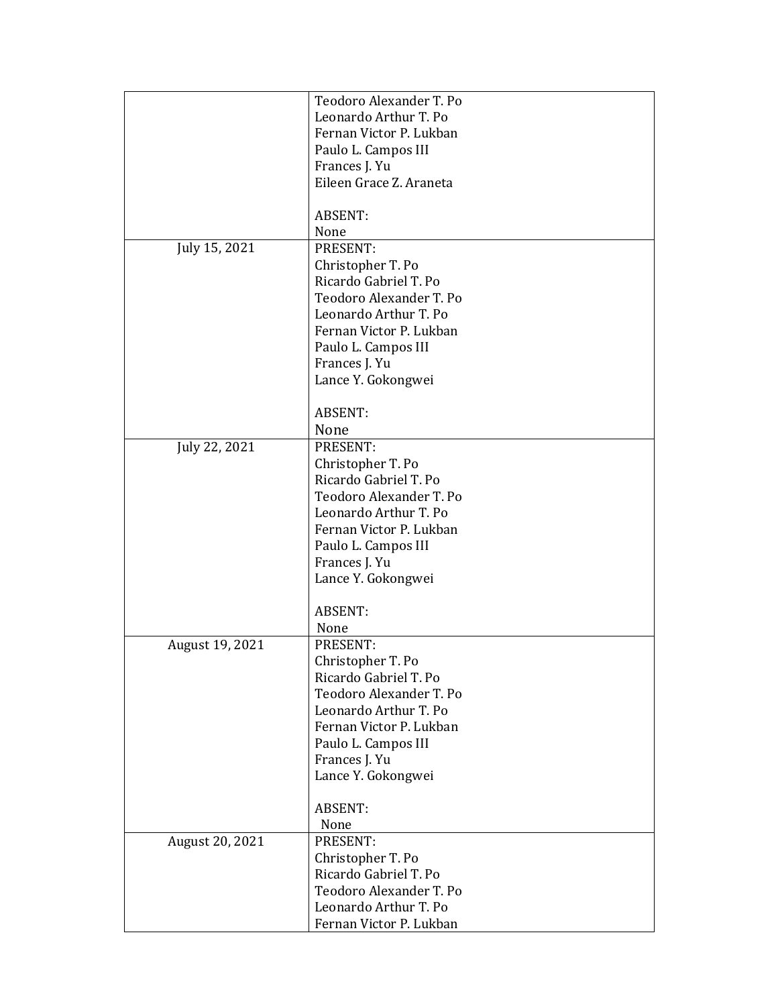|                 | Teodoro Alexander T. Po |
|-----------------|-------------------------|
|                 | Leonardo Arthur T. Po   |
|                 | Fernan Victor P. Lukban |
|                 | Paulo L. Campos III     |
|                 | Frances J. Yu           |
|                 | Eileen Grace Z. Araneta |
|                 |                         |
|                 | <b>ABSENT:</b>          |
|                 | None                    |
| July 15, 2021   | PRESENT:                |
|                 | Christopher T. Po       |
|                 | Ricardo Gabriel T. Po   |
|                 | Teodoro Alexander T. Po |
|                 | Leonardo Arthur T. Po   |
|                 | Fernan Victor P. Lukban |
|                 | Paulo L. Campos III     |
|                 | Frances J. Yu           |
|                 | Lance Y. Gokongwei      |
|                 |                         |
|                 | <b>ABSENT:</b>          |
|                 | None                    |
| July 22, 2021   | PRESENT:                |
|                 | Christopher T. Po       |
|                 | Ricardo Gabriel T. Po   |
|                 | Teodoro Alexander T. Po |
|                 | Leonardo Arthur T. Po   |
|                 | Fernan Victor P. Lukban |
|                 | Paulo L. Campos III     |
|                 | Frances J. Yu           |
|                 | Lance Y. Gokongwei      |
|                 |                         |
|                 | <b>ABSENT:</b>          |
|                 | None                    |
| August 19, 2021 | PRESENT:                |
|                 | Christopher T. Po       |
|                 | Ricardo Gabriel T. Po   |
|                 | Teodoro Alexander T. Po |
|                 | Leonardo Arthur T. Po   |
|                 | Fernan Victor P. Lukban |
|                 | Paulo L. Campos III     |
|                 | Frances J. Yu           |
|                 | Lance Y. Gokongwei      |
|                 |                         |
|                 | <b>ABSENT:</b><br>None  |
| August 20, 2021 | PRESENT:                |
|                 | Christopher T. Po       |
|                 | Ricardo Gabriel T. Po   |
|                 | Teodoro Alexander T. Po |
|                 | Leonardo Arthur T. Po   |
|                 | Fernan Victor P. Lukban |
|                 |                         |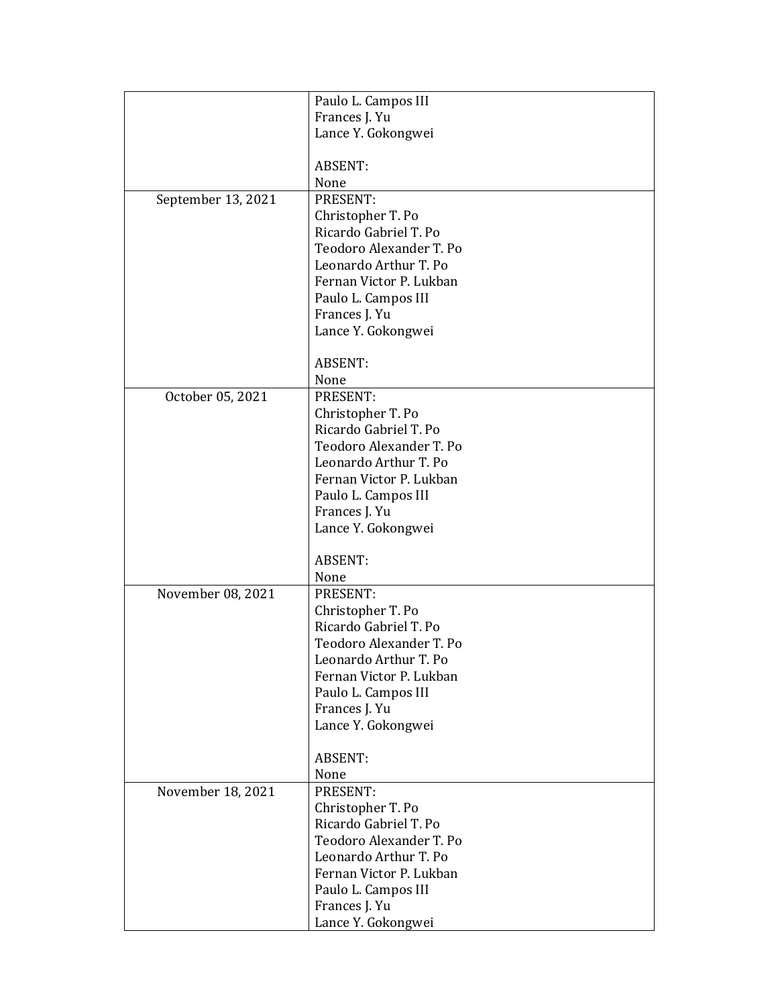|                    | Paulo L. Campos III     |
|--------------------|-------------------------|
|                    | Frances J. Yu           |
|                    | Lance Y. Gokongwei      |
|                    |                         |
|                    | <b>ABSENT:</b>          |
|                    | None                    |
| September 13, 2021 | PRESENT:                |
|                    | Christopher T. Po       |
|                    | Ricardo Gabriel T. Po   |
|                    | Teodoro Alexander T. Po |
|                    | Leonardo Arthur T. Po   |
|                    | Fernan Victor P. Lukban |
|                    | Paulo L. Campos III     |
|                    | Frances J. Yu           |
|                    | Lance Y. Gokongwei      |
|                    |                         |
|                    | <b>ABSENT:</b>          |
|                    | None                    |
| October 05, 2021   | PRESENT:                |
|                    | Christopher T. Po       |
|                    | Ricardo Gabriel T. Po   |
|                    | Teodoro Alexander T. Po |
|                    | Leonardo Arthur T. Po   |
|                    | Fernan Victor P. Lukban |
|                    | Paulo L. Campos III     |
|                    | Frances J. Yu           |
|                    | Lance Y. Gokongwei      |
|                    | <b>ABSENT:</b>          |
|                    | None                    |
| November 08, 2021  | PRESENT:                |
|                    | Christopher T. Po       |
|                    | Ricardo Gabriel T. Po   |
|                    | Teodoro Alexander T. Po |
|                    | Leonardo Arthur T. Po   |
|                    | Fernan Victor P. Lukban |
|                    | Paulo L. Campos III     |
|                    | Frances J. Yu           |
|                    | Lance Y. Gokongwei      |
|                    |                         |
|                    | <b>ABSENT:</b>          |
|                    | None                    |
| November 18, 2021  | PRESENT:                |
|                    | Christopher T. Po       |
|                    | Ricardo Gabriel T. Po   |
|                    | Teodoro Alexander T. Po |
|                    | Leonardo Arthur T. Po   |
|                    | Fernan Victor P. Lukban |
|                    | Paulo L. Campos III     |
|                    | Frances J. Yu           |
|                    | Lance Y. Gokongwei      |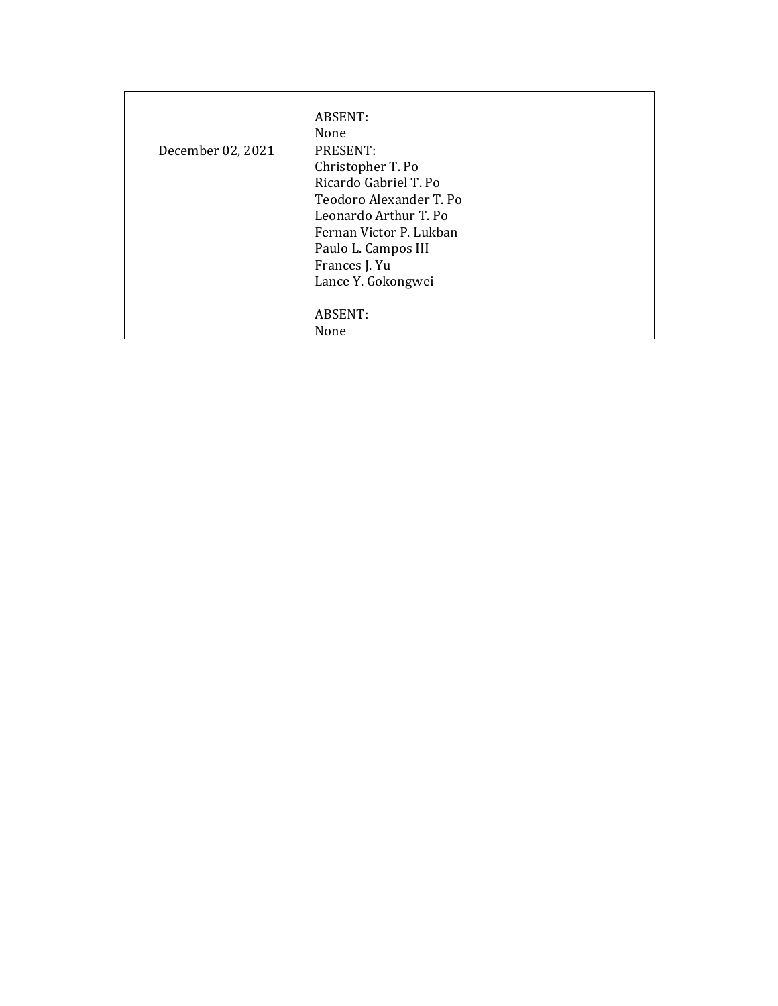|                   | ABSENT:                 |
|-------------------|-------------------------|
|                   | None                    |
| December 02, 2021 | PRESENT:                |
|                   | Christopher T. Po       |
|                   | Ricardo Gabriel T. Po   |
|                   | Teodoro Alexander T. Po |
|                   | Leonardo Arthur T. Po   |
|                   | Fernan Victor P. Lukban |
|                   | Paulo L. Campos III     |
|                   | Frances J. Yu           |
|                   | Lance Y. Gokongwei      |
|                   |                         |
|                   | ABSENT:                 |
|                   | None                    |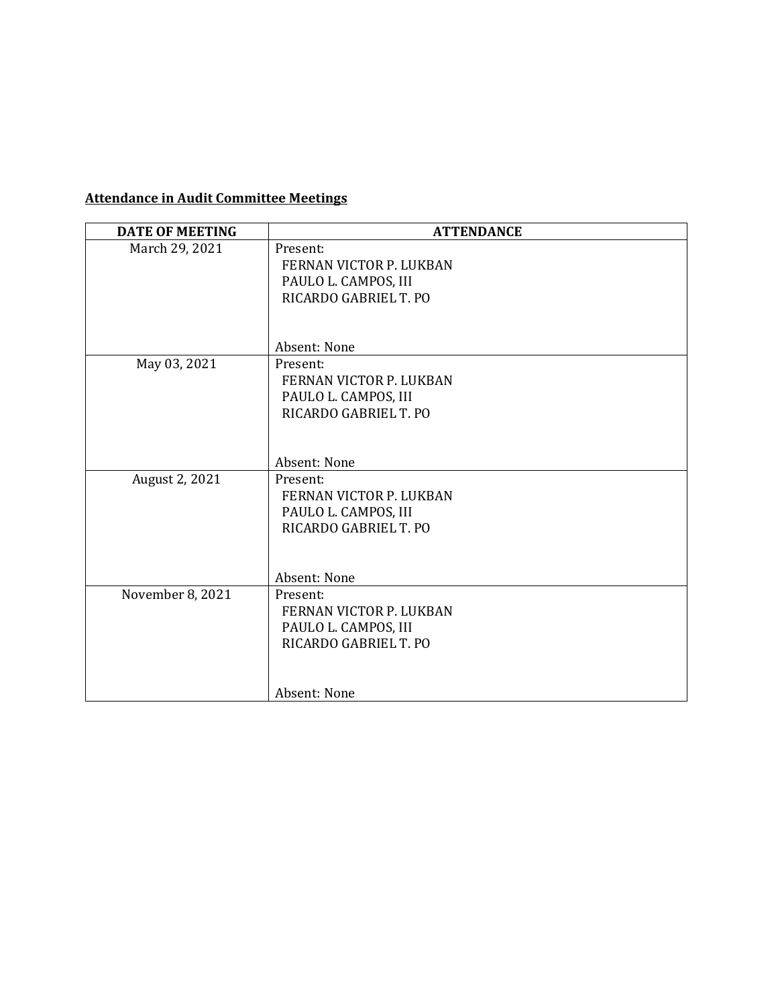# **Attendance in Audit Committee Meetings**

| <b>DATE OF MEETING</b> | <b>ATTENDANCE</b>                             |
|------------------------|-----------------------------------------------|
| March 29, 2021         | Present:                                      |
|                        | FERNAN VICTOR P. LUKBAN                       |
|                        | PAULO L. CAMPOS, III                          |
|                        | RICARDO GABRIEL T. PO                         |
|                        |                                               |
|                        | Absent: None                                  |
|                        |                                               |
| May 03, 2021           | Present:                                      |
|                        | FERNAN VICTOR P. LUKBAN                       |
|                        | PAULO L. CAMPOS, III<br>RICARDO GABRIEL T. PO |
|                        |                                               |
|                        |                                               |
|                        | Absent: None                                  |
| August 2, 2021         | Present:                                      |
|                        | FERNAN VICTOR P. LUKBAN                       |
|                        | PAULO L. CAMPOS, III                          |
|                        | RICARDO GABRIEL T. PO                         |
|                        |                                               |
|                        |                                               |
|                        | Absent: None                                  |
| November 8, 2021       | Present:                                      |
|                        | FERNAN VICTOR P. LUKBAN                       |
|                        | PAULO L. CAMPOS, III                          |
|                        | RICARDO GABRIEL T. PO                         |
|                        |                                               |
|                        | Absent: None                                  |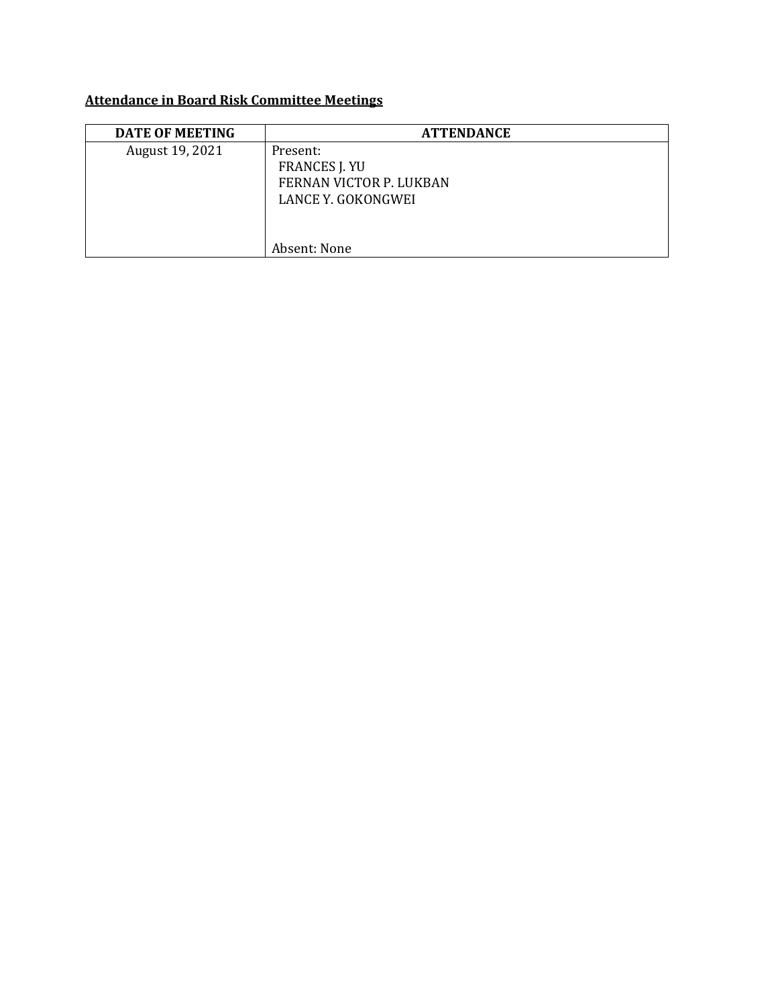# **Attendance in Board Risk Committee Meetings**

| <b>DATE OF MEETING</b> | <b>ATTENDANCE</b>                                                                 |
|------------------------|-----------------------------------------------------------------------------------|
| August 19, 2021        | Present:<br><b>FRANCES J. YU</b><br>FERNAN VICTOR P. LUKBAN<br>LANCE Y. GOKONGWEI |
|                        | Absent: None                                                                      |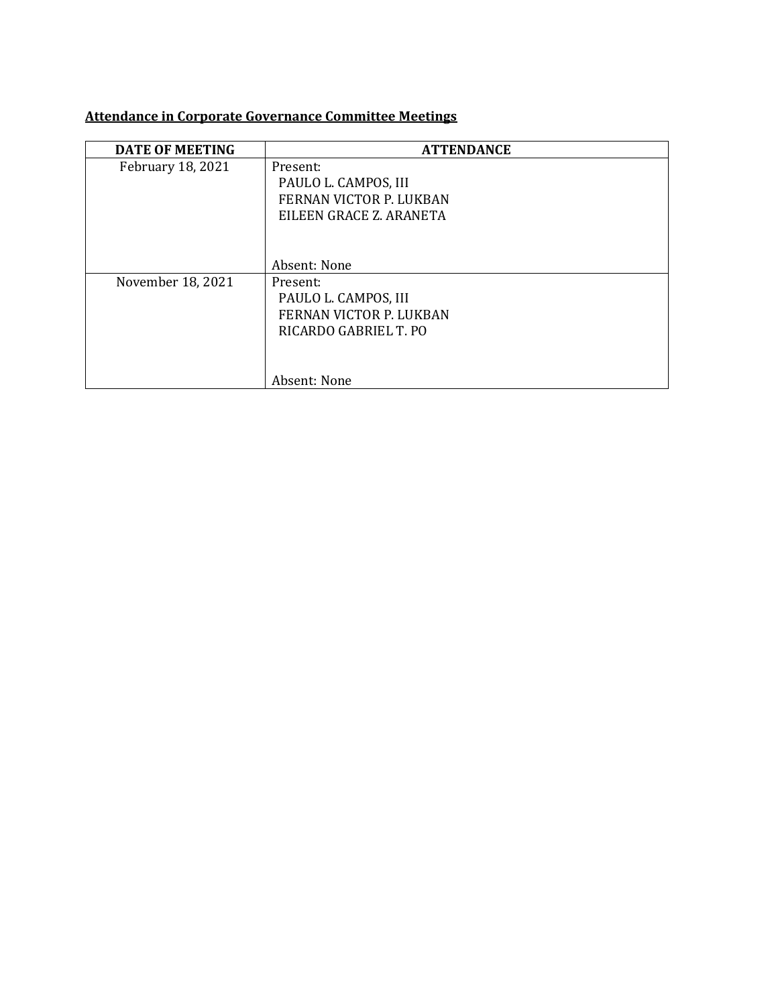# **Attendance in Corporate Governance Committee Meetings**

| <b>DATE OF MEETING</b> | <b>ATTENDANCE</b>              |
|------------------------|--------------------------------|
| February 18, 2021      | Present:                       |
|                        | PAULO L. CAMPOS, III           |
|                        | FERNAN VICTOR P. LUKBAN        |
|                        | EILEEN GRACE Z. ARANETA        |
|                        |                                |
|                        |                                |
|                        | Absent: None                   |
| November 18, 2021      | Present:                       |
|                        | PAULO L. CAMPOS, III           |
|                        | <b>FERNAN VICTOR P. LUKBAN</b> |
|                        | RICARDO GABRIEL T. PO          |
|                        |                                |
|                        |                                |
|                        | Absent: None                   |